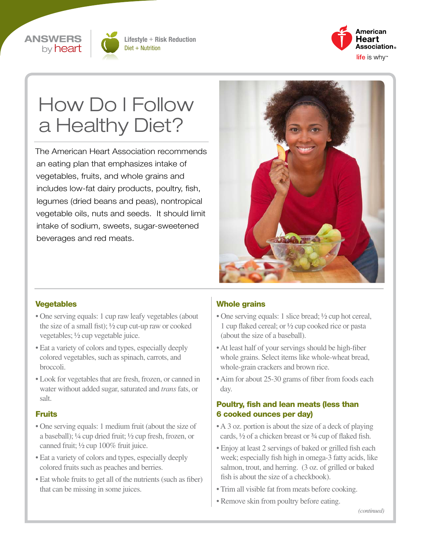



Lifestyle + Risk Reduction Diet + Nutrition



# How Do I Follow a Healthy Diet?

The American Heart Association recommends an eating plan that emphasizes intake of vegetables, fruits, and whole grains and includes low-fat dairy products, poultry, fish, legumes (dried beans and peas), nontropical vegetable oils, nuts and seeds. It should limit intake of sodium, sweets, sugar-sweetened beverages and red meats.



### Vegetables

- One serving equals: 1 cup raw leafy vegetables (about the size of a small fist); ½ cup cut-up raw or cooked vegetables; ½ cup vegetable juice.
- Eat a variety of colors and types, especially deeply colored vegetables, such as spinach, carrots, and broccoli.
- Look for vegetables that are fresh, frozen, or canned in water without added sugar, saturated and *trans* fats, or salt.

### **Fruits**

- One serving equals: 1 medium fruit (about the size of a baseball); ¼ cup dried fruit; ½ cup fresh, frozen, or canned fruit; ½ cup 100% fruit juice.
- Eat a variety of colors and types, especially deeply colored fruits such as peaches and berries.
- Eat whole fruits to get all of the nutrients (such as fiber) that can be missing in some juices.

### Whole grains

- One serving equals: 1 slice bread;  $\frac{1}{2}$  cup hot cereal, 1 cup flaked cereal; or ½ cup cooked rice or pasta (about the size of a baseball).
- At least half of your servings should be high-fiber whole grains. Select items like whole-wheat bread, whole-grain crackers and brown rice.
- Aim for about 25-30 grams of fiber from foods each day.

### Poultry, fish and lean meats (less than 6 cooked ounces per day)

- A 3 oz. portion is about the size of a deck of playing cards, ½ of a chicken breast or ¾ cup of flaked fish.
- Enjoy at least 2 servings of baked or grilled fish each week; especially fish high in omega-3 fatty acids, like salmon, trout, and herring. (3 oz. of grilled or baked fish is about the size of a checkbook).
- Trim all visible fat from meats before cooking.
- Remove skin from poultry before eating.

*(continued)*